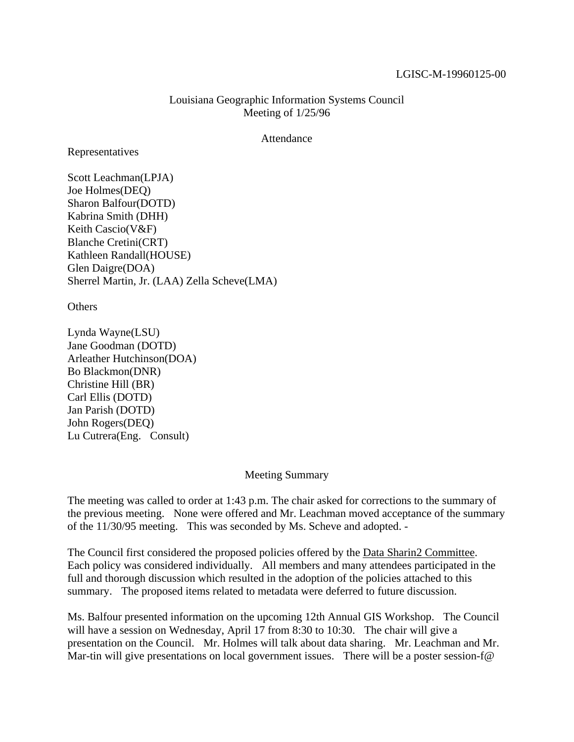## LGISC-M-19960125-00

## Louisiana Geographic Information Systems Council Meeting of 1/25/96

## Attendance

Representatives

Scott Leachman(LPJA) Joe Holmes(DEQ) Sharon Balfour(DOTD) Kabrina Smith (DHH) Keith Cascio(V&F) Blanche Cretini(CRT) Kathleen Randall(HOUSE) Glen Daigre(DOA) Sherrel Martin, Jr. (LAA) Zella Scheve(LMA)

**Others** 

Lynda Wayne(LSU) Jane Goodman (DOTD) Arleather Hutchinson(DOA) Bo Blackmon(DNR) Christine Hill (BR) Carl Ellis (DOTD) Jan Parish (DOTD) John Rogers(DEQ) Lu Cutrera(Eng. Consult)

## Meeting Summary

The meeting was called to order at 1:43 p.m. The chair asked for corrections to the summary of the previous meeting. None were offered and Mr. Leachman moved acceptance of the summary of the 11/30/95 meeting. This was seconded by Ms. Scheve and adopted. -

The Council first considered the proposed policies offered by the Data Sharin2 Committee. Each policy was considered individually. All members and many attendees participated in the full and thorough discussion which resulted in the adoption of the policies attached to this summary. The proposed items related to metadata were deferred to future discussion.

Ms. Balfour presented information on the upcoming 12th Annual GIS Workshop. The Council will have a session on Wednesday, April 17 from 8:30 to 10:30. The chair will give a presentation on the Council. Mr. Holmes will talk about data sharing. Mr. Leachman and Mr. Mar-tin will give presentations on local government issues. There will be a poster session-f@